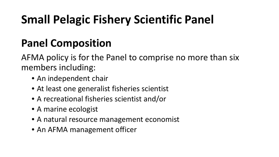#### **Panel Composition**

AFMA policy is for the Panel to comprise no more than six members including:

- An independent chair
- At least one generalist fisheries scientist
- A recreational fisheries scientist and/or
- A marine ecologist
- A natural resource management economist
- An AFMA management officer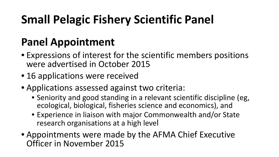#### **Panel Appointment**

- Expressions of interest for the scientific members positions were advertised in October 2015
- 16 applications were received
- Applications assessed against two criteria:
	- Seniority and good standing in a relevant scientific discipline (eg, ecological, biological, fisheries science and economics), and
	- Experience in liaison with major Commonwealth and/or State research organisations at a high level
- Appointments were made by the AFMA Chief Executive Officer in November 2015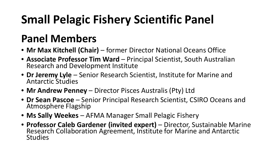#### **Panel Members**

- **Mr Max Kitchell (Chair)** former Director National Oceans Office
- **Associate Professor Tim Ward**  Principal Scientist, South Australian Research and Development Institute
- **Dr Jeremy Lyle**  Senior Research Scientist, Institute for Marine and Antarctic Studies
- **Mr Andrew Penney**  Director Pisces Australis (Pty) Ltd
- **Dr Sean Pascoe**  Senior Principal Research Scientist, CSIRO Oceans and Atmosphere Flagship
- **Ms Sally Weekes**  AFMA Manager Small Pelagic Fishery
- **Professor Caleb Gardener (invited expert)**  Director, Sustainable Marine Research Collaboration Agreement, Institute for Marine and Antarctic **Studies**